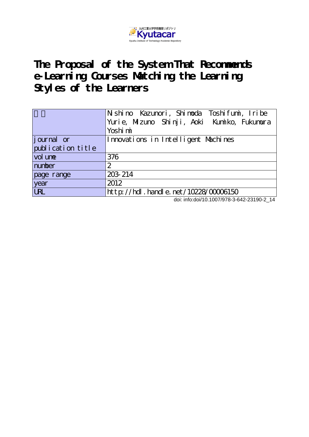

**The Proposal of the System That Recommends e-Learning Courses Matching the Learning Styles of the Learners**

|                   | Nishino Kazunori, Shimoda Toshifumi, Iribe  |
|-------------------|---------------------------------------------|
|                   | Yurie, Mizuno Shinji, Aoki Kumiko, Fukumura |
|                   | Yoshi mi                                    |
| journal or        | Imovations in Intelligent Machines          |
| publication title |                                             |
| vol une           | 376                                         |
| number            | 2                                           |
| page range        | 203-214                                     |
| year              | 2012                                        |
| <b>LRL</b>        | $http://hdl. handle. net/10228/00006150$    |

doi: info:doi/10.1007/978-3-642-23190-2\_14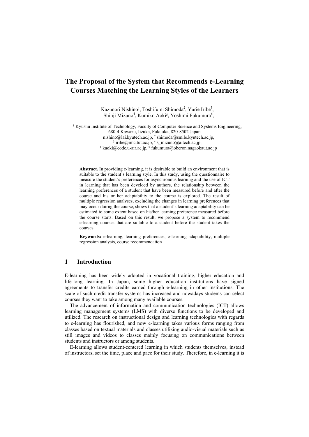## **The Proposal of the System that Recommends e-Learning Courses Matching the Learning Styles of the Learners**

Kazunori Nishino<sup>1</sup>, Toshifumi Shimoda<sup>2</sup>, Yurie Iribe<sup>3</sup>, Shinji Mizuno<sup>4</sup>, Kumiko Aoki<sup>5</sup>, Yoshimi Fukumura<sup>6</sup>,

<sup>1</sup> Kyushu Institute of Technology, Faculty of Computer Science and Systems Engineering,

680-4 Kawazu, Iizuka, Fukuoka, 820-8502 Japan 1 <sup>1</sup> nishino@lai.kyutech.ac.jp, <sup>2</sup> shimoda@smile.kyutech.ac.jp, <sup>3</sup> iribe@imc.tut.ac.jp, <sup>4</sup> s\_mizuno@aitech.ac.jp, <sup>5</sup> kaoki@code u-air ac in <sup>6</sup> fukumura@oberon nagaokaut ac.jp kaoki@code.u-air.ac.jp, 6 fukumura@oberon.nagaokaut.ac.jp

**Abstract.** In providing e-learning, it is desirable to build an environment that is suitable to the student's learning style. In this study, using the questionnaire to measure the student's preferences for asynchronous learning and the use of ICT in learning that has been develoed by authors, the relationship between the learning preferences of a student that have been measured before and after the course and his or her adaptability to the course is explored. The result of multiple regression analyses, excluding the changes in learning preferences that may occur duirng the course, shows that a student's learning adaptability can be estimated to some extent based on his/her learning preference measured before the course starts. Based on this result, we propose a system to recommend e-learning courses that are suitable to a student before the student takes the courses.

**Keywords:** e-learning, learning preferences, e-learning adaptability, multiple regression analysis, course recommendation

### **1 Introduction**

E-learning has been widely adopted in vocational training, higher education and life-long learning. In Japan, some higher education institutions have signed agreements to transfer credits earned through e-learning in other institutions. The scale of such credit transfer systems has increased and nowadays students can select courses they want to take among many available courses.

The advancement of information and communication technologies (ICT) allows learning management systems (LMS) with diverse functions to be developed and utilized. The research on instructional design and learning technologies with regards to e-learning has flourished, and now e-learning takes various forms ranging from classes based on textual materials and classes utilizing audio-visual materials such as still images and videos to classes mainly focusing on communications between students and instructors or among students.

E-learning allows student-centered learning in which students themselves, instead of instructors, set the time, place and pace for their study. Therefore, in e-learning it is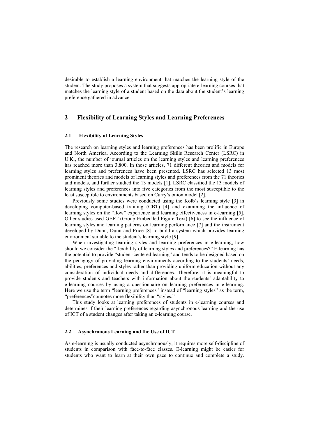desirable to establish a learning environment that matches the learning style of the student. The study proposes a system that suggests appropriate e-learning courses that matches the learning style of a student based on the data about the student's learning preference gathered in advance.

## **2 Flexibility of Learning Styles and Learning Preferences**

#### **2.1 Flexibility of Learning Styles**

The research on learning styles and learning preferences has been prolific in Europe and North America. According to the Learning Skills Research Center (LSRC) in U.K., the number of journal articles on the learning styles and learning preferences has reached more than 3,800. In those articles, 71 different theories and models for learning styles and preferences have been presented. LSRC has selected 13 most prominent theories and models of learning styles and preferences from the 71 theories and models, and further studied the 13 models [1]. LSRC classified the 13 models of learning styles and preferences into five categories from the most susceptible to the least susceptible to environments based on Curry's onion model [2].

Previously some studies were conducted using the Kolb's learning style [3] in developing computer-based training (CBT) [4] and examining the influence of learning styles on the "flow" experience and learning effectiveness in e-learning [5]. Other studies used GEFT (Group Embedded Figure Text) [6] to see the influence of learning styles and learning patterns on learning performance [7] and the instrument developed by Dunn, Dunn and Price [8] to build a system which provides learning environment suitable to the student's learning style [9].

When investigating learning styles and learning preferences in e-learning, how should we consider the "flexibility of learning styles and preferences?" E-learning has the potential to provide "student-centered learning" and tends to be designed based on the pedagogy of providing learning environments according to the students' needs, abilities, preferences and styles rather than providing uniform education without any consideration of individual needs and differences. Therefore, it is meaningful to provide students and teachers with information about the students' adaptability to e-learning courses by using a questionnaire on learning preferences in e-learning. Here we use the term "learning preferences" instead of "learning styles" as the term, "preferences"connotes more flexibility than "styles."

This study looks at learning preferences of students in e-learning courses and determines if their learning preferences regarding asynchronous learning and the use of ICT of a student changes after taking an e-learning course.

#### **2.2 Asynchronous Learning and the Use of ICT**

As e-learning is usually conducted asynchronously, it requires more self-discipline of students in comparison with face-to-face classes. E-learning might be easier for students who want to learn at their own pace to continue and complete a study.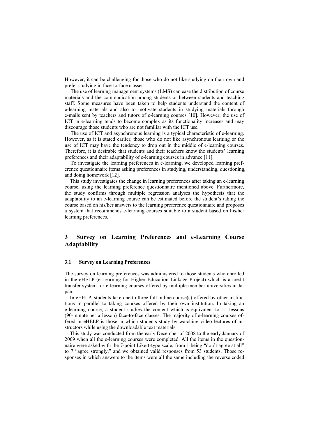However, it can be challenging for those who do not like studying on their own and prefer studying in face-to-face classes.

The use of learning management systems (LMS) can ease the distribution of course materials and the communication among students or between students and teaching staff. Some measures have been taken to help students understand the content of e-learning materials and also to motivate students in studying materials through e-mails sent by teachers and tutors of e-learning courses [10]. However, the use of ICT in e-learning tends to become complex as its functionality increases and may discourage those students who are not familiar with the ICT use.

The use of ICT and asynchronous learning is a typical characteristic of e-learning. However, as it is stated earlier, those who do not like asynchronous learning or the use of ICT may have the tendency to drop out in the middle of e-learning courses. Therefore, it is desirable that students and their teachers know the students' learning preferences and their adaptability of e-learning courses in advance [11].

To investigate the learning preferences in e-learning, we developed learning preference questionnaire items asking preferences in studying, understanding, questioning, and doing homework [12].

This study investigates the change in learning preferences after taking an e-learning course, using the learning preference questionnaire mentioned above. Furthermore, the study confirms through multiple regression analyses the hypothesis that the adaptability to an e-learning course can be estimated before the student's taking the course based on his/her answers to the learning preference questionnaire and proposes a system that recommends e-learning courses suitable to a student based on his/her learning preferences.

## **3 Survey on Learning Preferences and e-Learning Course Adaptability**

#### **3.1 Survey on Learning Preferences**

The survey on learning preferences was administered to those students who enrolled in the eHELP (e-Learning for Higher Education Linkage Project) which is a credit transfer system for e-learning courses offered by multiple member universities in Japan.

In eHELP, students take one to three full online course(s) offered by other institutions in parallel to taking courses offered by their own institution. In taking an e-learning course, a student studies the content which is equivalent to 15 lessons (90-minute per a lesson) face-to-face classes. The majority of e-learning courses offered in eHELP is those in which students study by watching video lectures of instructors while using the downloadable text materials.

This study was conducted from the early December of 2008 to the early January of 2009 when all the e-learning courses were completed. All the items in the questionnaire were asked with the 7-point Likert-type scale; from 1 being "don't agree at all" to 7 "agree strongly," and we obtained valid responses from 53 students. Those responses in which answers to the items were all the same including the reverse coded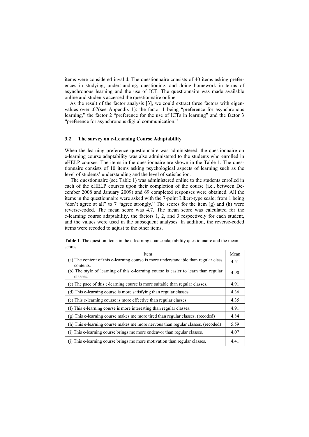items were considered invalid. The questionnaire consists of 40 items asking preferences in studying, understanding, questioning, and doing homework in terms of asynchronous learning and the use of ICT. The questionnaire was made available online and students accessed the questionnaire online.

As the result of the factor analysis [3], we could extract three factors with eigenvalues over .07(see Appendix 1): the factor 1 being "preference for asynchronous learning," the factor 2 "preference for the use of ICTs in learning" and the factor 3 "preference for asynchronous digital communication."

#### **3.2 The survey on e-Learning Course Adaptability**

When the learning preference questionnaire was administered, the questionnaire on e-learning course adaptability was also administered to the students who enrolled in eHELP courses. The items in the questionnaire are shown in the Table 1. The questionnaire consists of 10 items asking psychological aspects of learning such as the level of students' understanding and the level of satisfaction.

The questionnaire (see Table 1) was administered online to the students enrolled in each of the eHELP courses upon their completion of the course (i.e., between December 2008 and January 2009) and 69 completed responses were obtained. All the items in the questionnaire were asked with the 7-point Likert-type scale; from 1 being "don't agree at all" to 7 "agree strongly." The scores for the item (g) and (h) were reverse-coded. The mean score was 4.7. The mean score was calculated for the e-learning course adaptability, the factors 1, 2, and 3 respectively for each student, and the values were used in the subsequent analyses. In addition, the reverse-coded items were recoded to adjust to the other items.

| Item                                                                                             | Mean |
|--------------------------------------------------------------------------------------------------|------|
| (a) The content of this e-learning course is more understandable than regular class<br>contents. | 4.51 |
| (b) The style of learning of this e-learning course is easier to learn than regular<br>classes.  | 4.90 |
| (c) The pace of this e-learning course is more suitable than regular classes.                    | 4.91 |
| (d) This e-learning course is more satisfying than regular classes.                              | 4.36 |
| (e) This e-learning course is more effective than regular classes.                               | 4.35 |
| (f) This e-learning course is more interesting than regular classes.                             | 4.91 |
| (g) This e-learning course makes me more tired than regular classes. (recoded)                   | 4.84 |
| (h) This e-learning course makes me more nervous than regular classes. (recoded)                 | 5.59 |
| (i) This e-learning course brings me more endeavor than regular classes.                         | 4.07 |
| (i) This e-learning course brings me more motivation than regular classes.                       | 4.41 |

**Table 1**. The question items in the e-learning course adaptability questionnaire and the mean scores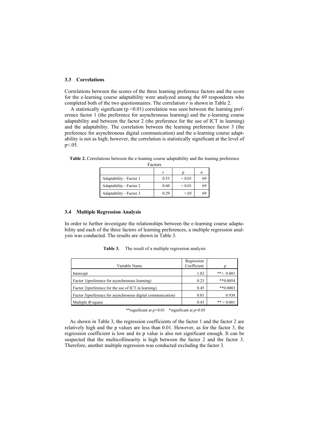#### **3.3 Correlations**

Correlations between the scores of the three learning preference factors and the score for the e-learning course adaptability were analyzed among the 69 respondents who completed both of the two questionnaires. The correlation *r* is shown in Table 2.

A statistically significant ( $p \le 0.01$ ) correlation was seen between the learning preference factor 1 (the preference for asynchronous learning) and the e-learning course adaptability and between the factor 2 (the preference for the use of ICT in learning) and the adaptability. The correlation between the learning preference factor 3 (the preference for asynchronous digital communication) and the e-learning course adaptability is not as high; however, the correlation is statistically significant at the level of p < . 05.

|                         | Factors |             |    |
|-------------------------|---------|-------------|----|
|                         |         |             | n  |
| Adaptability - Factor 1 | 0.53    | ${}_{0.01}$ | 69 |
| Adaptability - Factor 2 | 0.60    | ${}_{0.01}$ | 69 |
| Adaptability - Factor 3 | 0.29    | < 0.05      |    |

**Table 2.** Correlations between the e-leaning course adaptability and the leaning preference

#### **3.4 Multiple Regression Analysis**

In order to further investigate the relationships between the e-learning course adaptability and each of the three factors of learning preferences, a multiple regression analysis was conducted. The results are shown in Table 3.

| <b>Table 3.</b> | The result of a multiple regression analysis |  |  |  |  |
|-----------------|----------------------------------------------|--|--|--|--|
|-----------------|----------------------------------------------|--|--|--|--|

| Variable Name                                                | Regression<br>Coefficient |             |
|--------------------------------------------------------------|---------------------------|-------------|
| Intercept                                                    | 1.82                      | **< $0.001$ |
| Factor 1 (preference for asynchronous learning)              | 0.23                      | $*$ *0.0054 |
| Factor 2(preference for the use of ICT in learning)          | 0.45                      | $**0.0003$  |
| Factor 3 (preference for asynchronous digital communication) | 0.01                      | 0.938       |
| Multiple $R$ -square                                         | 0.43                      | ** $< 0.00$ |

\*\*significant at *p=*0.01 \*significant at *p*=0.05

As shown in Table 3, the regression coefficients of the factor 1 and the factor 2 are relatively high and the p values are less than 0.01. However, as for the factor 3, the regression coefficient is low and its p value is also not significant enough. It can be suspected that the multicollinearity is high between the factor 2 and the factor 3. Therefore, another multiple regression was conducted excluding the factor 3.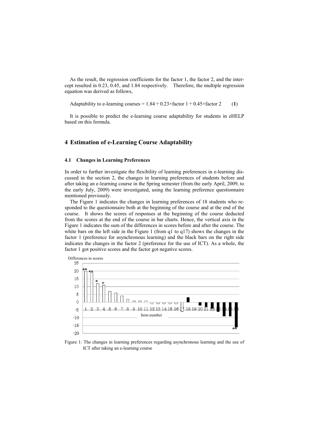As the result, the regression coefficients for the factor 1, the factor 2, and the intercept resulted in 0.23, 0.45, and 1.84 respectively. Therefore, the multiple regression equation was derived as follows,

Adaptability to e-learning courses =  $1.84 + 0.23 \times$  factor  $1 + 0.45 \times$  factor 2 (1)

It is possible to predict the e-learning course adaptability for students in eHELP based on this formula.

#### **4 Estimation of e-Learning Course Adaptability**

#### **4.1 Changes in Learning Preferences**

In order to further investigate the flexibility of learning preferences in e-learning discussed in the section 2, the changes in learning preferences of students before and after taking an e-learning course in the Spring semester (from the early April, 2009, to the early July, 2009) were investigated, using the learning preference questionnaire mentioned previously.

The Figure 1 indicates the changes in learning preferences of 18 students who responded to the questionnaire both at the beginning of the course and at the end of the course. It shows the scores of responses at the beginning of the course deducted from the scores at the end of the course in bar charts. Hence, the vertical axis in the Figure 1 indicates the sum of the differences in scores before and after the course. The white bars on the left side in the Figure 1 (from  $q_1$  to  $q_2$ ) shows the changes in the factor 1 (preference for asynchronous learning) and the black bars on the right side indicates the changes in the factor 2 (preference for the use of ICT). As a whole, the factor 1 got positive scores and the factor got negative scores.



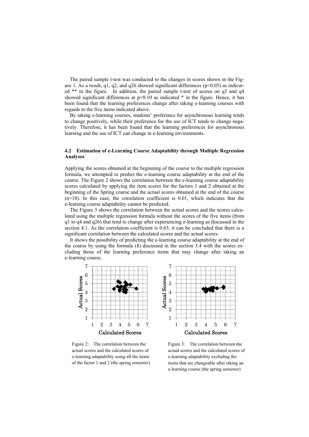The paired sample t-test was conducted to the changes in scores shown in the Figure 1. As a result, q1, q2, and q26 showed significant differences ( $p<0.05$ ) as indicated \*\* in the figure. In addition, the paired sample t-test of scores on q3 and q4 showed significant differences at  $p<0.10$  as indicated  $*$  in the figure. Hence, it has been found that the learning preferences change after taking e-learning courses with regards to the five items indicated above.

By taking e-learning courses, students' preference for asynchronous learning tends to change positively, while their preference for the use of ICT tends to change negatively. Therefore, it has been found that the learning preferences for asynchronous learning and the use of ICT can change in e-learning environments.

#### **4.2 Estimation of e-Learning Course Adaptability through Multiple Regression Analyses**

Applying the scores obtained at the beginning of the course to the multiple regression formula, we attempted to predict the e-learning course adaptability at the end of the course. The Figure 2 shows the correlation between the e-learning course adaptability scores calculated by applying the item scores for the factors 1 and 2 obtained at the beginning of the Spring course and the actual scores obtained at the end of the course  $(n=18)$ . In this case, the correlation coefficient is 0.01, which indicates that the e-learning course adaptability cannot be predicted.

The Figure 3 shows the correlation between the actual scores and the scores calculated using the multiple regression formula without the scores of the five items (from q1 to q4 and q26) that tend to change after experiencing e-learning as discussed in the section 4.1. As the correlation coefficient is 0.65, it can be concluded that there is a significant correlation between the calculated scores and the actual scores.

It shows the possibility of predicting the e-learning course adaptability at the end of the course by using the formula (**1**) discussed in the section 3.4 with the scores excluding those of the learning preference items that may change after taking an e-learning course.



Figure 2: The correlation between the actual scores and the calculated scores of e-learning adaptability using all the items of the factor 1 and 2 (the spring semester)

Figure 3: The correlation between the actual scores and the calculated scores of e-learning adaptability excluding the items that are changeable after taking an e-learning course (the spring semester)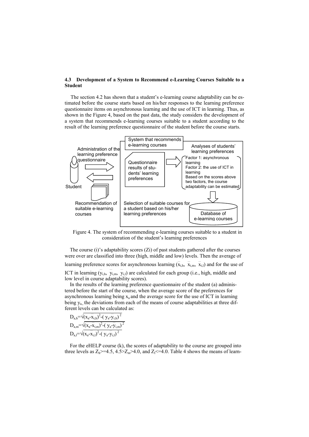#### **4.3 Development of a System to Recommend e-Learning Courses Suitable to a Student**

The section 4.2 has shown that a student's e-learning course adaptability can be estimated before the course starts based on his/her responses to the learning preference questionnaire items on asynchronous learning and the use of ICT in learning. Thus, as shown in the Figure 4, based on the past data, the study considers the development of a system that recommends e-learning courses suitable to a student according to the result of the learning preference questionnaire of the student before the course starts.



Figure 4. The system of recommending e-learning courses suitable to a student in consideration of the student's learning preferences

The course (i)'s adaptability scores (Zi) of past students gathered after the courses were over are classified into three (high, middle and low) levels. Then the average of learning preference scores for asynchronous learning  $(\overline{x}_{i,h}, \overline{x}_{i,h}, \overline{x}_{i,l})$  and for the use of  $\overline{a}$  $\overline{a}$ ICT in learning  $(\overline{y}_{i,h}, \overline{y}_{i,h}, \overline{y}_{i,l})$  are calculated for each group (i.e., high, middle and \_ \_ low level in course adaptability scores).

 In the results of the learning preference questionnaire of the student (a) administered before the start of the course, when the average score of the preferences for asynchronous learning being  $x_a$  and the average score for the use of ICT in learning being  $y_{a_n}$ , the deviations from each of the means of course adaptabilities at three different levels can be calculated as:

$$
\begin{array}{l}D_{a,h}\!\!=\!\!\sqrt{{(x_a\!\!-\!\! \overline{ x}_{i,h} )^2\!\!-\!\!{\left(\,y_a\!\!-\!\!\overline{ y}_{i,h} \right)}^2}}\\ D_{a,m}\!\!=\!\!\sqrt{{(x_a\!\!-\!\!\overline{ x}_{i,m} )^2\!\!-\!\!{\left(\,y_a\!\!-\!\!\overline{ y}_{i,m} \right)}^2}}\\ D_{a,l}\!\!=\!\!\sqrt{{(x_a\!\!-\!\!\overline{ x}_{i,l} )^2\!\!-\!\left(\,y_a\!\!-\!\!\overline{ y}_{i,l} \right)^2}}\end{array}
$$

For the eHELP course (k), the scores of adaptability to the course are grouped into three levels as  $Z_h$  >=4.5, 4.5 > $Z_m$  >4.0, and  $Z_l$  <=4.0. Table 4 shows the means of learn-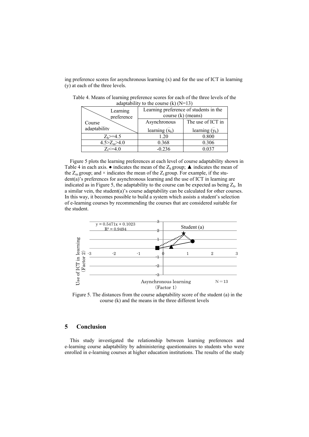ing preference scores for asynchronous learning  $(x)$  and for the use of ICT in learning (y) at each of the three levels.

| Learning          | Learning preference of students in the |                   |
|-------------------|----------------------------------------|-------------------|
| preference        | course $(k)$ (means)                   |                   |
| Course            | Asynchronous                           | The use of ICT in |
| adaptability      | learning $(x_k)$                       | learning $(y_k)$  |
| $Z_b \geq 4.5$    | 1.20                                   | 0.800             |
| $4.5 > Z_m > 4.0$ | 0.368                                  | 0.306             |
| $Z_1 \leq 4.0$    | $-0.236$                               | 0.037             |

Table 4. Means of learning preference scores for each of the three levels of the adaptability to the course  $(k)$   $(N=13)$ 

Figure 5 plots the learning preferences at each level of course adaptability shown in Table 4 in each axis.  $\bullet$  indicates the mean of the Z<sub>h</sub> group;  $\blacktriangle$  indicates the mean of the  $Z_m$  group; and  $\times$  indicates the mean of the  $Z_l$  group. For example, if the student(a)'s preferences for asynchronous learning and the use of ICT in learning are indicated as in Figure 5, the adaptability to the course can be expected as being  $Z<sub>h</sub>$ . In a similar vein, the student(a)'s course adaptability can be calculated for other courses. In this way, it becomes possible to build a system which assists a student's selection of e-learning courses by recommending the courses that are considered suitable for the student.



Figure 5. The distances from the course adaptability score of the student (a) in the course (k) and the means in the three different levels

### **5 Conclusion**

This study investigated the relationship between learning preferences and e-learning course adaptability by administering questionnaires to students who were enrolled in e-learning courses at higher education institutions. The results of the study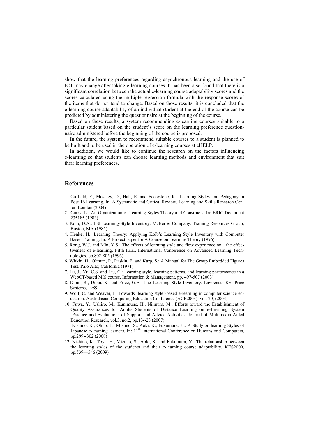show that the learning preferences regarding asynchronous learning and the use of ICT may change after taking e-learning courses. It has been also found that there is a significant correlation between the actual e-learning course adaptability scores and the scores calculated using the multiple regression formula with the response scores of the items that do not tend to change. Based on those results, it is concluded that the e-learning course adaptability of an individual student at the end of the course can be predicted by administering the questionnaire at the beginning of the course.

Based on these results, a system recommending e-learning courses suitable to a particular student based on the student's score on the learning preference questionnaire administered before the beginning of the course is proposed.

In the future, the system to recommend suitable courses to a student is planned to be built and to be used in the operation of e-learning courses at eHELP.

In addition, we would like to continue the research on the factors influencing e-learning so that students can choose learning methods and environment that suit their learning preferences.

#### **References**

- 1. Coffield, F., Moseley, D., Hall, E. and Ecclestone, K.: Learning Styles and Pedagogy in Post-16 Learning. In: A Systematic and Critical Review, Learning and Skills Research Center, London (2004)
- 2. Curry, L.: An Organization of Learning Styles Theory and Constructs. In: ERIC Document 235185 (1983)
- 3. Kolb, D.A.: LSI Learning-Style Inventory. McBer & Company. Training Resources Group, Boston, MA (1985)
- 4. Henke, H.: Learning Theory: Applying Kolb's Learning Style Inventory with Computer Based Training. In: A Project paper for A Course on Learning Theory (1996)
- 5. Rong, W.J. and Min, Y.S.: The effects of learning style and flow experience on the effectiveness of e-learning. Fifth IEEE International Conference on Advanced Learning Technologies. pp.802-805 (1996)
- 6. Witkin, H., Oltman, P., Raskin, E. and Karp, S.: A Manual for The Group Embedded Figures Test. Palo Alto; California (1971)
- 7. Lu, J., Yu, C.S. and Liu, C.: Learning style, learning patterns, and learning performance in a WebCT-based MIS course. Information & Management, pp. 497-507 (2003)
- 8. Dunn, R., Dunn, K. and Price, G.E.: The Learning Style Inventory. Lawrence, KS: Price Systems, 1989.
- 9. Wolf, C. and Weaver, I.: Towards 'learning style'-based e-learning in computer science education. Australasian Computing Education Conference (ACE2003). vol. 20, (2003)
- 10. Fuwa, Y., Ushiro, M., Kunimune, H., Niimura, M.: Efforts toward the Establishment of Quality Assurances for Adults Students of Distance Learning on e-Learning System -Practice and Evaluations of Support and Advice Activities-.Journal of Multimedia Aided Education Research, vol.3, no.2, pp.13--23 (2007)
- 11. Nishino, K., Ohno, T., Mizuno, S., Aoki, K., Fukumura, Y.: A Study on learning Styles of Japanese e-learning learners. In: 11<sup>th</sup> International Conference on Humans and Computers, pp.299--302 (2008)
- 12. Nishino, K., Toya, H., Mizuno, S., Aoki, K. and Fukumura, Y.: The relationship between the learning styles of the students and their e-learning course adaptability, KES2009, pp.539—546 (2009)